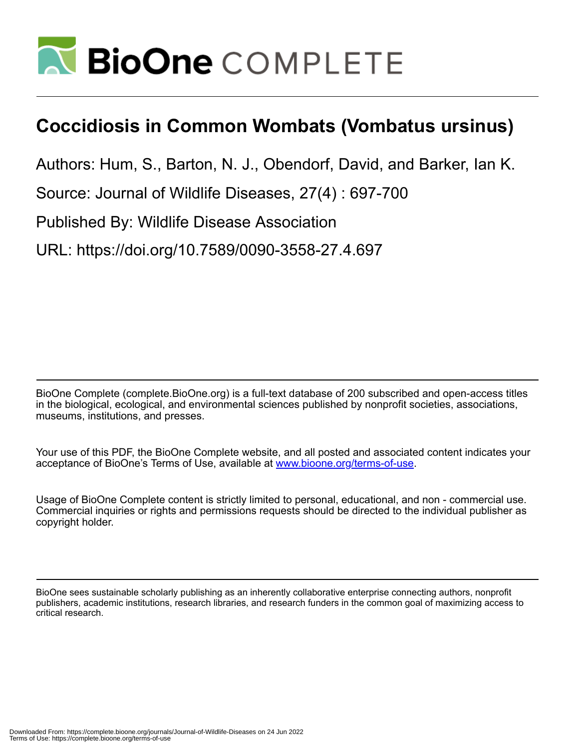

## **Coccidiosis in Common Wombats (Vombatus ursinus)**

Authors: Hum, S., Barton, N. J., Obendorf, David, and Barker, Ian K.

Source: Journal of Wildlife Diseases, 27(4) : 697-700

Published By: Wildlife Disease Association

URL: https://doi.org/10.7589/0090-3558-27.4.697

BioOne Complete (complete.BioOne.org) is a full-text database of 200 subscribed and open-access titles in the biological, ecological, and environmental sciences published by nonprofit societies, associations, museums, institutions, and presses.

Your use of this PDF, the BioOne Complete website, and all posted and associated content indicates your acceptance of BioOne's Terms of Use, available at www.bioone.org/terms-of-use.

Usage of BioOne Complete content is strictly limited to personal, educational, and non - commercial use. Commercial inquiries or rights and permissions requests should be directed to the individual publisher as copyright holder.

BioOne sees sustainable scholarly publishing as an inherently collaborative enterprise connecting authors, nonprofit publishers, academic institutions, research libraries, and research funders in the common goal of maximizing access to critical research.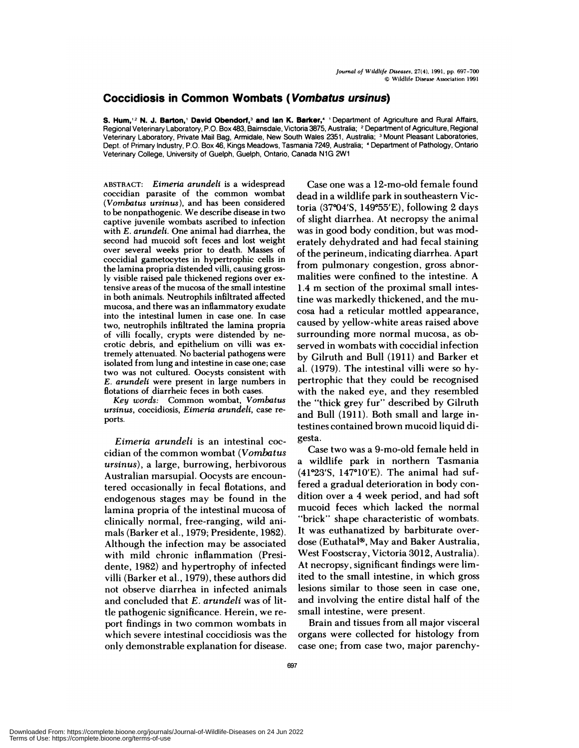## **Coccidiosis in Common Wombats** ( **Vombatus ursinus)**

**S. Hum,'2 N. J.** Barton,' **David** Obendorf,3 **and Ian K.** Barker,4 'Department of Agriculture and Rural Affairs, Regional Veterinary Laboratory, P.O. Box 483, Bairnsdale, Victoria 3875, Australia; <sup>2</sup> Department of Agriculture, Regional Veterinary Laboratory, Private Mail Bag, Armidale, New South Wales 2351, Australia; <sup>3</sup> Mount Pleasant Laboratories, Dept. of Primary Industry, P.O. Box 46, Kings Meadows, Tasmania 7249, Australia; <sup>4</sup> Department of Pathology, Ontario Veterinary College, University of Guelph, Guelph, Ontario, Canada N1G 2W1

**ABSTRACT:** *Eimeria arundell* is a widespread coccidian parasite of the common wombat ( *Vombatus ursinus),* and has been considered to be nonpathogenic. We describe disease in two captive juvenile wombats ascribed to infection with *E. arundeli.* One animal had diarrhea, the second had mucoid soft feces and lost weight oven several weeks prior to death. Masses of coccidial gametocytes in hypertrophic cells in the lamina propria distended villi, causing grossly visible raised pale thickened regions oven extensive areas of the mucosa of the small intestine in both animals. Neutrophils infiltrated affected **mucosa,** and there was an inflammatory exudate into the intestinal lumen in case one. In case two, neutrophils infiltrated the lamina propria of villi focally, crypts were distended by ne **crotic** debris, and epithelium on villi was extremely attenuated. No bacterial pathogens were isolated from lung and intestine in case one; case two was not cultured. Oocysts consistent with *E. arundeli* were present in large numbers in **flotations of** diarrheic feces in both cases.

*Key words:* Common wombat, *Vombatus ursinus,* coccidiosis, *Elmeria arundeli,* case ne **ports.**

*Eimeria arundeli* is an intestinal coc cidian of the common wombat *(Vombatus ursinus),* a large, burrowing, herbivorous Australian marsupial. Oocysts are encountered occasionally in fecal flotations, and endogenous stages may be found in the lamina propria of the intestinal mucosa of clinically normal, free-ranging, wild animals (Barker et a!., 1979; Presidente, 1982). Although the infection may be associated with mild chronic inflammation (Presidente, 1982) and hypertrophy of infected villi (Barker et a!., 1979), these authors did not observe diarrhea in infected animals and concluded that *E. arundeli* was of little pathogenic significance. Herein, we re port findings in two common wombats in which severe intestinal coccidiosis was the only demonstrable explanation for disease.

Case one was a 12-mo-old female found dead in a wildlife park in southeastern Victoria  $(37^{\circ}04'S, 149^{\circ}55'E)$ , following 2 days of slight diarrhea. At necropsy the animal was in good body condition, but was moderately dehydrated and had fecal staining of the perineum, indicating diarrhea. Apart from pulmonary congestion, gross abnormalities were confined to the intestine. A 1.4 m section of the proximal small intestine was markedly thickened, and the mu cosa had a reticular mottled appearance, caused by yellow-white areas raised above surrounding more normal mucosa, as observed in wombats with coccidial infection by Gilruth and Bull (1911) and Barker et al. (1979). The intestinal villi were so hypertrophic that they could be recognised with the naked eye, and they resembled the "thick grey fur" described by Gilruth and Bull (1911). Both small and large intestines contained brown mucoid liquid digesta.

Case two was a 9-mo-old female held in a wildlife park in northern Tasmania  $(41°23'S, 147°10'E)$ . The animal had suffered a gradual deterioration in body con dition over a 4 week period, and had soft mucoid feces which lacked the normal "brick" shape characteristic of wombats. It was euthanatized by barbiturate over dose (Euthatal®, May and Baker Australia, West Foostscray, Victoria 3012, Australia). At necropsy, significant findings were limited to the small intestine, in which gross lesions similar to those seen in case one, and involving the entire distal half of the small intestine, were present.

Brain and tissues from all major visceral organs were collected for histology from case one; from case two, major parenchy-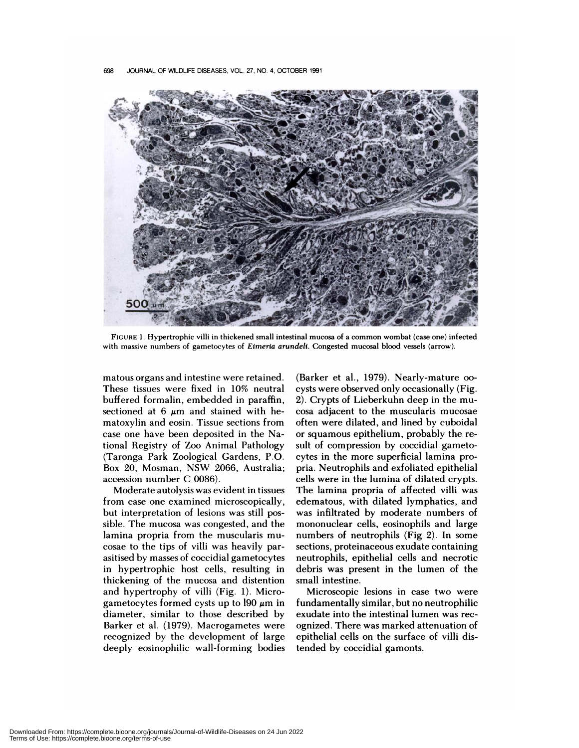

FIGURE 1. Hypertrophic villi in thickened small intestinal mucosa of a common wombat (case one) infected with massive numbers of gametocytes of *Eimeria arundeli.* Congested mucosal blood vessels (arrow).

matous organs and intestine were retained. These tissues were fixed in 10% neutral buffered formalin, embedded in paraffin, sectioned at 6  $\mu$ m and stained with hematoxylin and eosin. Tissue sections from case one have been deposited in the National Registry of Zoo Animal Pathology (Taronga Park Zoological Gardens, P.O. Box 20, Mosman, NSW 2066, Australia; accession number C 0086).

Moderate autolysis was evident in tissues from case one examined microscopically, but interpretation of lesions was still possible. The mucosa was congested, and the lamina propria from the muscularis mu cosae to the tips of villi was heavily parasitised by masses of coccidial gametocytes in hypertrophic host cells, resulting in thickening of the mucosa and distention and hypertrophy of villi (Fig. 1). Microgametocytes formed cysts up to  $190 \mu m$  in diameter, similar to those described by Barker et al. (1979). Macrogametes were recognized by the development of large deeply eosinophilic wall-forming bodies (Barker et a!., 1979). Nearly-mature oo cysts were observed only occasionally (Fig. 2). Crypts of Lieberkuhn deep in the mu cosa adjacent to the muscularis mucosae often were dilated, and lined by cuboida! or squamous epithelium, probably the re sult of compression by coccidial gametocytes in the more superficial lamina propria. Neutrophils and exfoliated epithelial cells were in the lumina of dilated crypts. The lamina propria of affected villi was edematous, with dilated lymphatics, and was infiltrated by moderate numbers of mononuclear cells, eosinophils and large numbers of neutrophils (Fig 2). In some sections, proteinaceous exudate containing neutrophils, epithelial cells and necrotic debris was present in the lumen of the small intestine.

Microscopic lesions in case two were fundamentally similar, but no neutrophilic exudate into the intestinal lumen was recognized. There was marked attenuation of epithelial cells on the surface of villi distended by coccidial gamonts.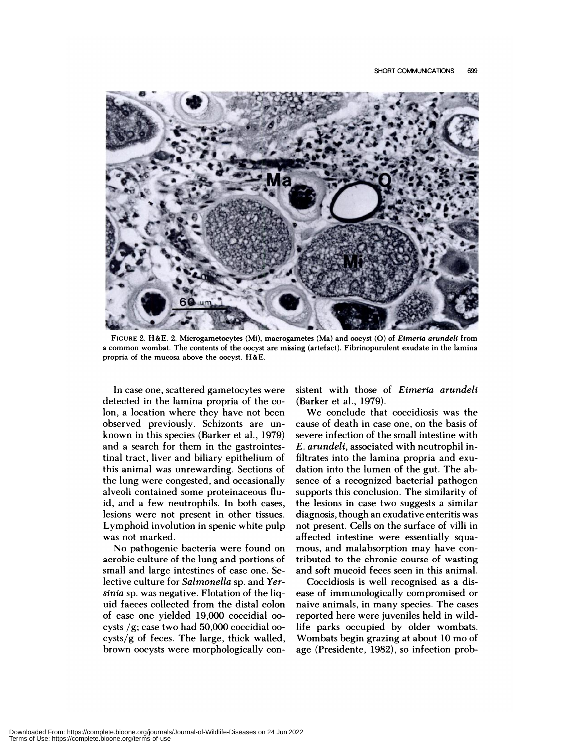

**FIGURE** 2.H&E. 2. **Microgametocytes** (Mi), macrogametes (Ma) and oocyst (0) of *Elmerla arundell* from **a common wombat.** The contents of the oocyst are missing (artefact). Fibrinopurulent exudate in the lamina propria of the mucosa above the oocyst. H&E.

In case one, scattered gametocytes were detected in the lamina propria of the colon, a location where they have not been observed previously. Schizonts are un known in this species (Barker et al., 1979) and a search for them in the gastrointestinal tract, liver and biliary epithelium of this animal was unrewarding. Sections of the lung were congested, and occasionally alveoli contained some proteinaceous fluid, and a few neutrophils. In both cases, lesions were not present in other tissues. Lymphoid involution in spenic white pulp was not marked.

No pathogenic bacteria were found on aerobic culture of the lung and portions of small and large intestines of case one. Selective culture for *Salmonella* sp. and *Yersinia* sp. was negative. Flotation of the liquid faeces collected from the distal colon of case one yielded 19,000 coccidia! 00 cysts  $/g$ ; case two had 50,000 coccidial oocysts/g of feces. The large, thick walled, brown oocysts were morphologically consistent with those of *Eimeria arundeli* (Barker et a!., 1979).

We conclude that coccidiosis was the cause of death in case one, on the basis of severe infection of the small intestine with *E. arundeli,* associated with neutrophil infiltrates into the lamina propria and exu dation into the lumen of the gut. The ab sence of a recognized bacterial pathogen supports this conclusion. The similarity of the lesions in case two suggests a similar diagnosis, though an exudative enteritis was not present. Cells on the surface of villi in affected intestine were essentially squamous, and malabsorption may have contributed to the chronic course of wasting and soft mucoid feces seen in this animal.

Coccidiosis is well recognised as a dis ease of immunologically compromised or naive animals, in many species. The cases reported here were juveniles held in wildlife parks occupied by older wombats. Wombats begin grazing at about 10 mo of age (Presidente, 1982), so infection prob